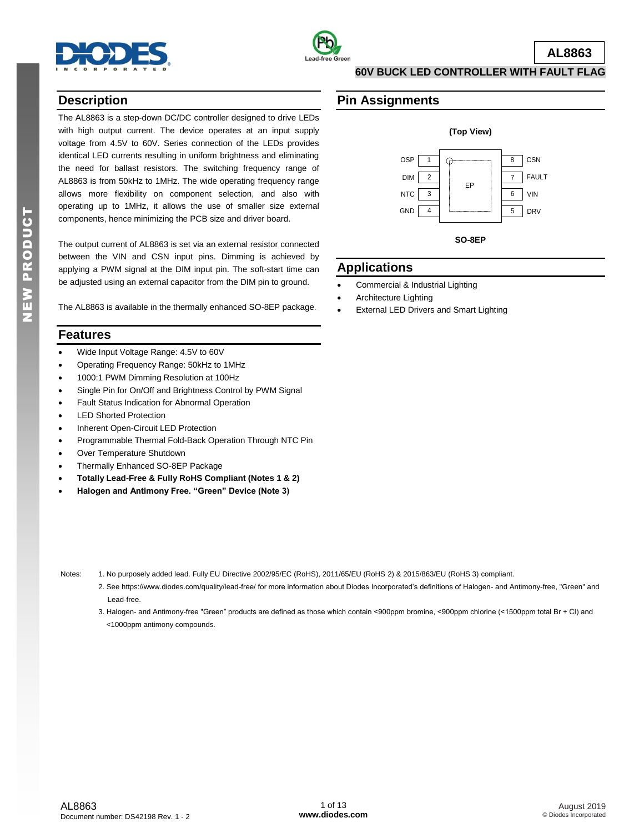



**AL8863**

**60V BUCK LED CONTROLLER WITH FAULT FLAG**

## **Description**

The AL8863 is a step-down DC/DC controller designed to drive LEDs with high output current. The device operates at an input supply voltage from 4.5V to 60V. Series connection of the LEDs provides identical LED currents resulting in uniform brightness and eliminating the need for ballast resistors. The switching frequency range of AL8863 is from 50kHz to 1MHz. The wide operating frequency range allows more flexibility on component selection, and also with operating up to 1MHz, it allows the use of smaller size external components, hence minimizing the PCB size and driver board.

The output current of AL8863 is set via an external resistor connected between the VIN and CSN input pins. Dimming is achieved by applying a PWM signal at the DIM input pin. The soft-start time can be adjusted using an external capacitor from the DIM pin to ground.

The AL8863 is available in the thermally enhanced SO-8EP package.

## **Features**

- Wide Input Voltage Range: 4.5V to 60V
- Operating Frequency Range: 50kHz to 1MHz
- 1000:1 PWM Dimming Resolution at 100Hz
- Single Pin for On/Off and Brightness Control by PWM Signal
- Fault Status Indication for Abnormal Operation
- LED Shorted Protection
- Inherent Open-Circuit LED Protection
- Programmable Thermal Fold-Back Operation Through NTC Pin
- Over Temperature Shutdown
- Thermally Enhanced SO-8EP Package
- **Totally Lead-Free & Fully RoHS Compliant (Notes 1 & 2)**
- **Halogen and Antimony Free. "Green" Device (Note 3)**

### **Pin Assignments**



## **Applications**

- Commercial & Industrial Lighting
- Architecture Lighting
- External LED Drivers and Smart Lighting

- Notes: 1. No purposely added lead. Fully EU Directive 2002/95/EC (RoHS), 2011/65/EU (RoHS 2) & 2015/863/EU (RoHS 3) compliant.
	- 2. See https://www.diodes.com/quality/lead-free/ for more information about Diodes Incorporated's definitions of Halogen- and Antimony-free, "Green" and Lead-free.
	- 3. Halogen- and Antimony-free "Green" products are defined as those which contain <900ppm bromine, <900ppm chlorine (<1500ppm total Br + Cl) and <1000ppm antimony compounds.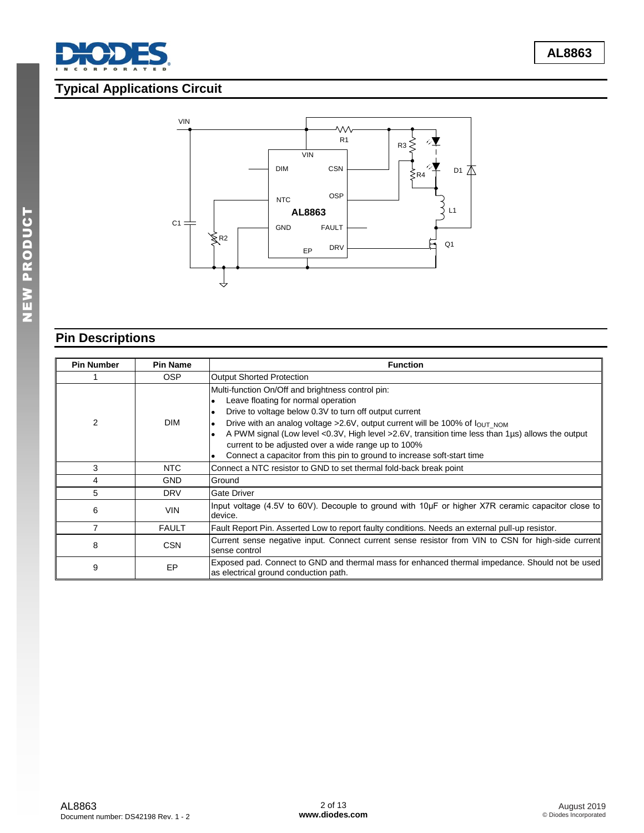

# **Typical Applications Circuit**



# **Pin Descriptions**

| <b>Pin Number</b> | <b>Pin Name</b> | <b>Function</b>                                                                                                                                                                                                                                                                                                                                                                                                                                                                                                 |
|-------------------|-----------------|-----------------------------------------------------------------------------------------------------------------------------------------------------------------------------------------------------------------------------------------------------------------------------------------------------------------------------------------------------------------------------------------------------------------------------------------------------------------------------------------------------------------|
|                   | <b>OSP</b>      | <b>Output Shorted Protection</b>                                                                                                                                                                                                                                                                                                                                                                                                                                                                                |
| 2                 | <b>DIM</b>      | Multi-function On/Off and brightness control pin:<br>Leave floating for normal operation<br>Drive to voltage below 0.3V to turn off output current<br>$\bullet$<br>Drive with an analog voltage >2.6V, output current will be 100% of lout Nom<br>$\bullet$<br>A PWM signal (Low level <0.3V, High level >2.6V, transition time less than 1µs) allows the output<br>current to be adjusted over a wide range up to 100%<br>Connect a capacitor from this pin to ground to increase soft-start time<br>$\bullet$ |
| 3                 | NTC             | Connect a NTC resistor to GND to set thermal fold-back break point                                                                                                                                                                                                                                                                                                                                                                                                                                              |
| 4                 | <b>GND</b>      | Ground                                                                                                                                                                                                                                                                                                                                                                                                                                                                                                          |
| 5                 | <b>DRV</b>      | <b>Gate Driver</b>                                                                                                                                                                                                                                                                                                                                                                                                                                                                                              |
| 6                 | <b>VIN</b>      | Input voltage (4.5V to 60V). Decouple to ground with 10µF or higher X7R ceramic capacitor close to<br>device.                                                                                                                                                                                                                                                                                                                                                                                                   |
|                   | <b>FAULT</b>    | Fault Report Pin. Asserted Low to report faulty conditions. Needs an external pull-up resistor.                                                                                                                                                                                                                                                                                                                                                                                                                 |
| 8                 | <b>CSN</b>      | Current sense negative input. Connect current sense resistor from VIN to CSN for high-side current<br>sense control                                                                                                                                                                                                                                                                                                                                                                                             |
| 9                 | EP              | Exposed pad. Connect to GND and thermal mass for enhanced thermal impedance. Should not be used<br>as electrical ground conduction path.                                                                                                                                                                                                                                                                                                                                                                        |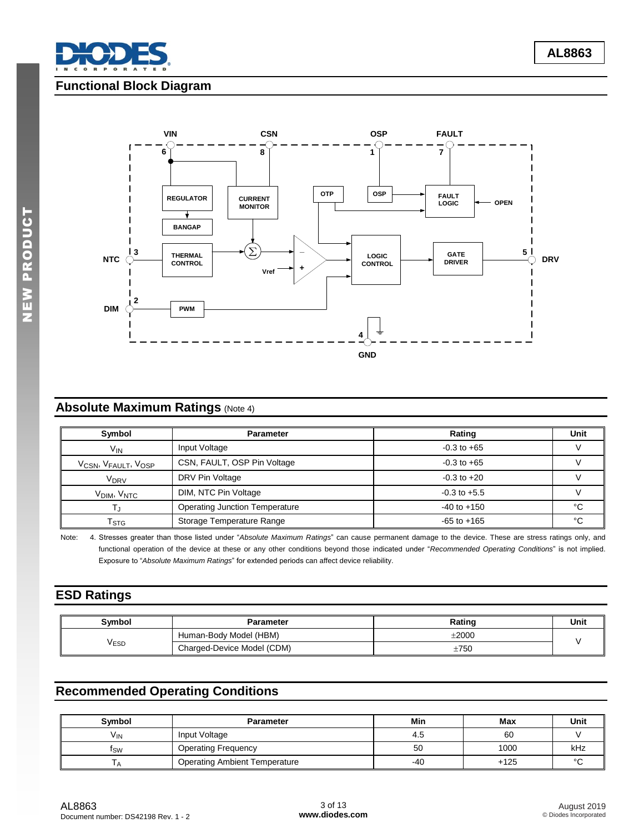

## **Functional Block Diagram**



# **Absolute Maximum Ratings (Note 4)**

| Symbol                                                   | <b>Parameter</b>                      | Rating           | Unit |
|----------------------------------------------------------|---------------------------------------|------------------|------|
| V <sub>IN</sub>                                          | Input Voltage                         | $-0.3$ to $+65$  |      |
| V <sub>CSN</sub> , V <sub>FAULT</sub> , V <sub>OSP</sub> | CSN, FAULT, OSP Pin Voltage           | $-0.3$ to $+65$  |      |
| V <sub>DRV</sub>                                         | DRV Pin Voltage                       | $-0.3$ to $+20$  |      |
| V <sub>DIM</sub> , V <sub>NTC</sub>                      | DIM, NTC Pin Voltage                  | $-0.3$ to $+5.5$ |      |
|                                                          | <b>Operating Junction Temperature</b> | $-40$ to $+150$  | °C   |
| l stg                                                    | Storage Temperature Range             | $-65$ to $+165$  | ∘∩   |

Note: 4. Stresses greater than those listed under "*Absolute Maximum Ratings*" can cause permanent damage to the device. These are stress ratings only, and functional operation of the device at these or any other conditions beyond those indicated under "*Recommended Operating Conditions*" is not implied. Exposure to "*Absolute Maximum Ratings*" for extended periods can affect device reliability.

## **ESD Ratings**

| <b>Symbol</b> | <b>Parameter</b>           | Rating     | Unit |
|---------------|----------------------------|------------|------|
| √ESD          | Human-Body Model (HBM)     | $\pm 2000$ |      |
|               | Charged-Device Model (CDM) | $\pm 750$  |      |

## **Recommended Operating Conditions**

| Symbol          | <b>Parameter</b>                     | Min | Max    | Unit    |
|-----------------|--------------------------------------|-----|--------|---------|
| V <sub>IN</sub> | Input Voltage                        | 4.Ե | 60     |         |
| ιsω             | <b>Operating Frequency</b>           | 50  | 1000   | kHz     |
|                 | <b>Operating Ambient Temperature</b> | -40 | $+125$ | $\circ$ |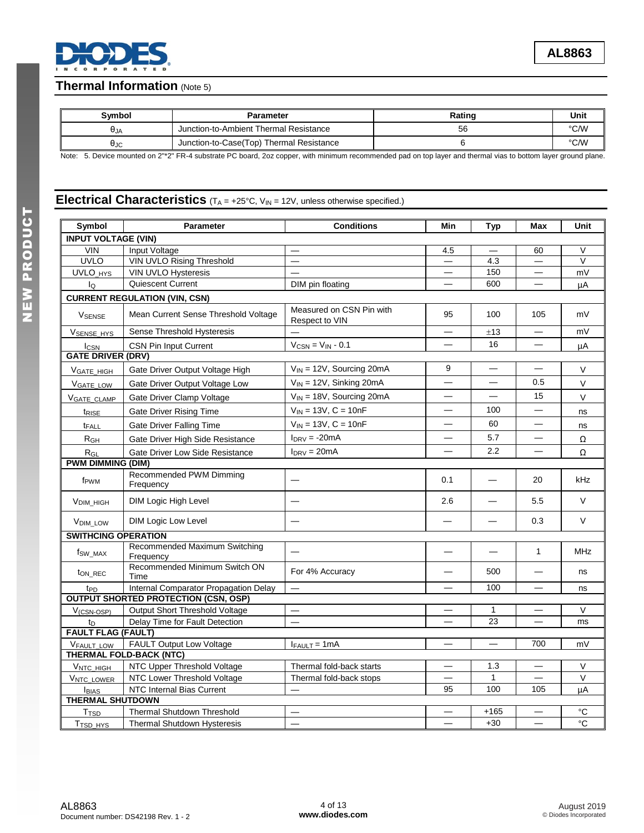## **Thermal Information** (Note 5)

| Symbol     | Parameter                                | Rating | Unit |
|------------|------------------------------------------|--------|------|
| <b>UJA</b> | Junction-to-Ambient Thermal Resistance   | 56     | °C/W |
| AJC        | Junction-to-Case(Top) Thermal Resistance |        | °C/W |

Note: 5. Device mounted on 2"\*2" FR-4 substrate PC board, 2oz copper, with minimum recommended pad on top layer and thermal vias to bottom layer ground plane.

## **Electrical Characteristics** (TA = +25°C, V<sub>IN</sub> = 12V, unless otherwise specified.)

| Symbol                     | Parameter                                                  | <b>Conditions</b>                          | Min                               | Typ                      | Max                               | Unit           |
|----------------------------|------------------------------------------------------------|--------------------------------------------|-----------------------------------|--------------------------|-----------------------------------|----------------|
| <b>INPUT VOLTAGE (VIN)</b> |                                                            |                                            |                                   |                          |                                   |                |
| <b>VIN</b>                 | Input Voltage                                              |                                            | 4.5                               |                          | 60                                | V              |
| <b>UVLO</b>                | <b>VIN UVLO Rising Threshold</b>                           |                                            |                                   | 4.3                      |                                   | $\vee$         |
| UVLO_HYS                   | VIN UVLO Hysteresis                                        |                                            | $\overbrace{\phantom{123221111}}$ | 150                      |                                   | mV             |
| lo                         | Quiescent Current                                          | DIM pin floating                           |                                   | 600                      |                                   | μA             |
|                            | <b>CURRENT REGULATION (VIN, CSN)</b>                       |                                            |                                   |                          |                                   |                |
| <b>VSENSE</b>              | Mean Current Sense Threshold Voltage                       | Measured on CSN Pin with<br>Respect to VIN | 95                                | 100                      | 105                               | mV             |
| VSENSE_HYS                 | Sense Threshold Hysteresis                                 |                                            |                                   | ±13                      | $\overline{\phantom{0}}$          | mV             |
| <b>I</b> CSN               | <b>CSN Pin Input Current</b>                               | $V_{CSN} = V_{IN} - 0.1$                   |                                   | 16                       |                                   | μA             |
| <b>GATE DRIVER (DRV)</b>   |                                                            |                                            |                                   |                          |                                   |                |
| VGATE HIGH                 | Gate Driver Output Voltage High                            | $V_{IN}$ = 12V, Sourcing 20mA              | 9                                 | $\overline{\phantom{0}}$ | $\overline{\phantom{0}}$          | V              |
| <b>VGATE LOW</b>           | Gate Driver Output Voltage Low                             | $V_{IN}$ = 12V, Sinking 20mA               |                                   | $\overline{\phantom{0}}$ | 0.5                               | $\vee$         |
| <b>VGATE CLAMP</b>         | Gate Driver Clamp Voltage                                  | $V_{IN}$ = 18V, Sourcing 20mA              |                                   | $\overline{\phantom{0}}$ | 15                                | $\vee$         |
| t <sub>RISE</sub>          | Gate Driver Rising Time                                    | $V_{IN} = 13V, C = 10nF$                   |                                   | 100                      |                                   | ns             |
| t <sub>FALL</sub>          | Gate Driver Falling Time                                   | $V_{IN} = 13V, C = 10nF$                   | —                                 | 60                       | $\overline{\phantom{0}}$          | ns             |
| R <sub>GH</sub>            | Gate Driver High Side Resistance                           | $I_{DRV} = -20mA$                          | —                                 | 5.7                      | $\overline{\phantom{0}}$          | Ω              |
| $R_{GL}$                   | Gate Driver Low Side Resistance                            | $I_{DRV} = 20mA$                           |                                   | 2.2                      |                                   | Ω              |
| <b>PWM DIMMING (DIM)</b>   |                                                            |                                            |                                   |                          |                                   |                |
| f <sub>PWM</sub>           | Recommended PWM Dimming<br>Frequency                       |                                            | 0.1                               |                          | 20                                | kHz            |
| <b>VDIM HIGH</b>           | <b>DIM Logic High Level</b>                                |                                            | 2.6                               |                          | 5.5                               | $\vee$         |
| <b>VDIM LOW</b>            | <b>DIM Logic Low Level</b>                                 |                                            |                                   |                          | 0.3                               | $\vee$         |
| <b>SWITHCING OPERATION</b> |                                                            |                                            |                                   |                          |                                   |                |
| f <sub>SW</sub> MAX        | Recommended Maximum Switching<br>Frequency                 |                                            |                                   |                          | $\mathbf{1}$                      | <b>MHz</b>     |
| ton REC                    | Recommended Minimum Switch ON<br>Time                      | For 4% Accuracy                            |                                   | 500                      |                                   | ns             |
| t <sub>PD</sub>            | Internal Comparator Propagation Delay                      |                                            |                                   | 100                      | $\overbrace{\phantom{123221111}}$ | ns             |
|                            | <b>OUTPUT SHORTED PROTECTION (CSN, OSP)</b>                |                                            |                                   |                          |                                   |                |
| $V$ <sub>(CSN-OSP)</sub>   | Output Short Threshold Voltage                             | $\qquad \qquad -$                          |                                   | 1                        |                                   | $\vee$         |
| t <sub>D</sub>             | Delay Time for Fault Detection                             |                                            |                                   | 23                       |                                   | ms             |
| <b>FAULT FLAG (FAULT)</b>  |                                                            |                                            |                                   |                          |                                   |                |
| <b>VFAULT LOW</b>          | FAULT Output Low Voltage<br><b>THERMAL FOLD-BACK (NTC)</b> | $I_{FAULT} = 1mA$                          |                                   |                          | 700                               | mV             |
| VNTC HIGH                  | NTC Upper Threshold Voltage                                | Thermal fold-back starts                   |                                   | 1.3                      | $\overbrace{\phantom{12322111}}$  | $\vee$         |
| <b>VNTC LOWER</b>          | NTC Lower Threshold Voltage                                | Thermal fold-back stops                    |                                   | 1                        |                                   | $\vee$         |
| <b>IBIAS</b>               | NTC Internal Bias Current                                  |                                            | 95                                | 100                      | 105                               | uA             |
| <b>THERMAL SHUTDOWN</b>    |                                                            |                                            |                                   |                          |                                   |                |
| T <sub>TSD</sub>           | <b>Thermal Shutdown Threshold</b>                          |                                            |                                   | $+165$                   |                                   | °C             |
| T <sub>TSD_HYS</sub>       | Thermal Shutdown Hysteresis                                |                                            |                                   | $+30$                    |                                   | $\overline{c}$ |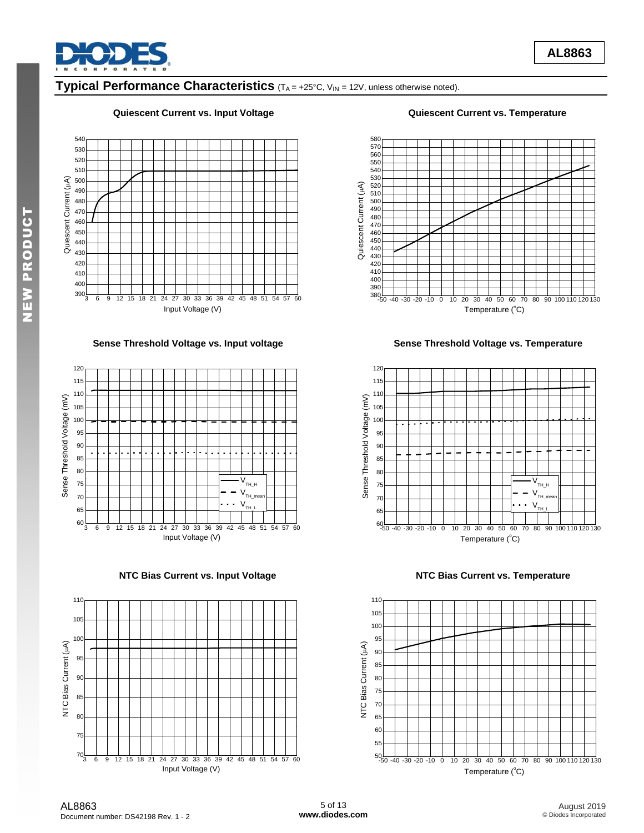

# **Typical Performance Characteristics** (TA = +25°C, V<sub>IN</sub> = 12V, unless otherwise noted).

#### **Quiescent Current vs. Input Voltage Quiescent Current vs. Temperature**



**Sense Threshold Voltage vs. Input voltage Sense Threshold Voltage vs. Temperature** 



**NTC Bias Current vs. Input Voltage NTC Bias Current vs. Temperature** 



Temperature  $(^{\circ}C)$ 

 $-40 - 30 - 20 - 10$ 

510

Quiescent Current ( $\mu$ A)

-50 -40 -30 -20 -10 0 10 20 30 40 50 60 70 80 90 100 110 120 130





AL8863 Document number: DS42198 Rev. 1 - 2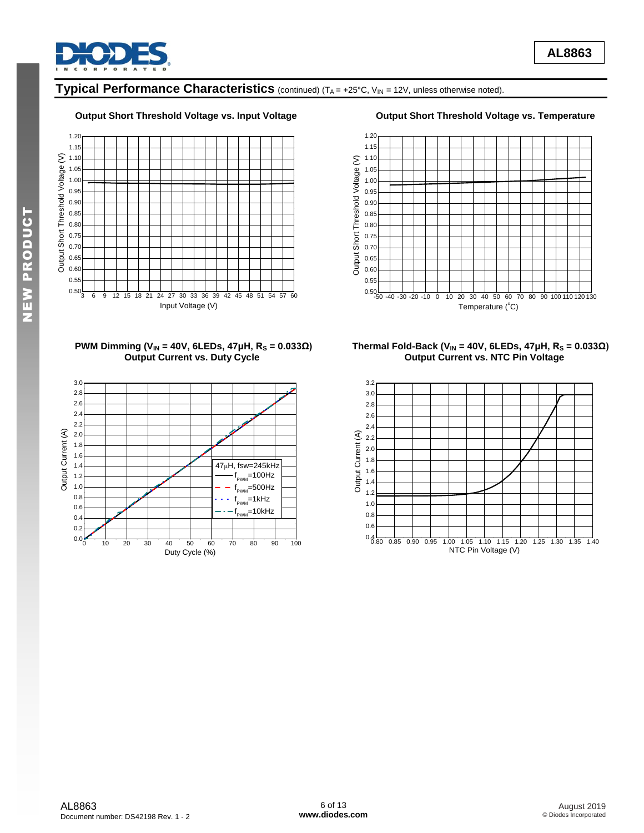

# **Typical Performance Characteristics** (continued) (TA = +25°C, V<sub>IN</sub> = 12V, unless otherwise noted).

#### **Output Short Threshold Voltage vs. Input Voltage Output Short Threshold Voltage vs. Temperature**









#### **PWM Dimming (VIN = 40V, 6LEDs, 47μH, R<sup>S</sup> = 0.033Ω) Thermal Fold-Back (VIN = 40V, 6LEDs, 47μH, R<sup>S</sup> = 0.033Ω) Output Current vs. NTC Pin Voltage**

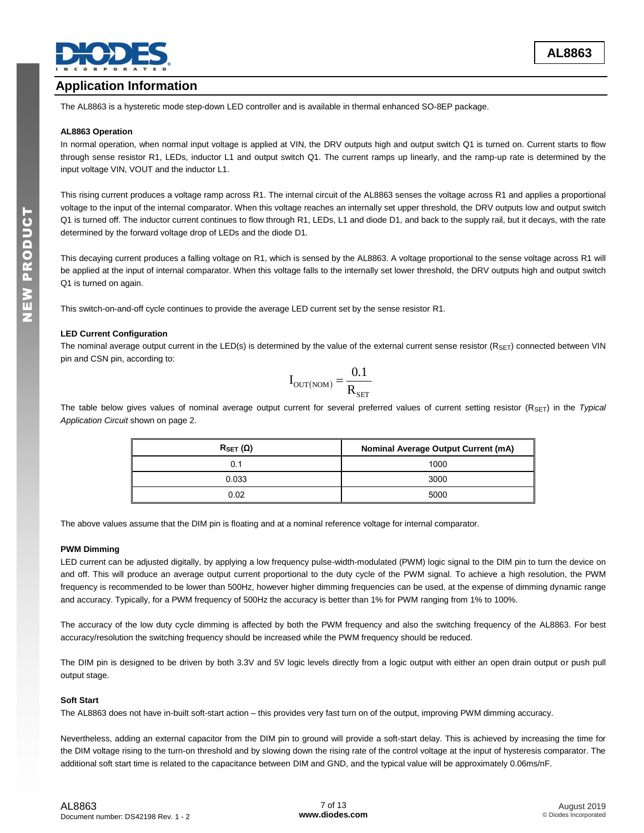

## **Application Information**

The AL8863 is a hysteretic mode step-down LED controller and is available in thermal enhanced SO-8EP package.

#### **AL8863 Operation**

In normal operation, when normal input voltage is applied at VIN, the DRV outputs high and output switch Q1 is turned on. Current starts to flow through sense resistor R1, LEDs, inductor L1 and output switch Q1. The current ramps up linearly, and the ramp-up rate is determined by the input voltage VIN, VOUT and the inductor L1.

This rising current produces a voltage ramp across R1. The internal circuit of the AL8863 senses the voltage across R1 and applies a proportional voltage to the input of the internal comparator. When this voltage reaches an internally set upper threshold, the DRV outputs low and output switch Q1 is turned off. The inductor current continues to flow through R1, LEDs, L1 and diode D1, and back to the supply rail, but it decays, with the rate determined by the forward voltage drop of LEDs and the diode D1.

This decaying current produces a falling voltage on R1, which is sensed by the AL8863. A voltage proportional to the sense voltage across R1 will be applied at the input of internal comparator. When this voltage falls to the internally set lower threshold, the DRV outputs high and output switch Q1 is turned on again.

This switch-on-and-off cycle continues to provide the average LED current set by the sense resistor R1.

#### **LED Current Configuration**

The nominal average output current in the LED(s) is determined by the value of the external current sense resistor  $(R_{\text{SET}})$  connected between VIN pin and CSN pin, according to:

$$
I_{\text{OUT(NOM)}} = \frac{0.1}{R_{\text{SET}}}
$$

The table below gives values of nominal average output current for several preferred values of current setting resistor (R<sub>SET</sub>) in the *Typical Application Circuit* shown on page 2.

| $R_{\text{SET}}(\Omega)$ | <b>Nominal Average Output Current (mA)</b> |  |  |
|--------------------------|--------------------------------------------|--|--|
| 0.1                      | 1000                                       |  |  |
| 0.033                    | 3000                                       |  |  |
| 0.02                     | 5000                                       |  |  |

The above values assume that the DIM pin is floating and at a nominal reference voltage for internal comparator.

#### **PWM Dimming**

LED current can be adjusted digitally, by applying a low frequency pulse-width-modulated (PWM) logic signal to the DIM pin to turn the device on and off. This will produce an average output current proportional to the duty cycle of the PWM signal. To achieve a high resolution, the PWM frequency is recommended to be lower than 500Hz, however higher dimming frequencies can be used, at the expense of dimming dynamic range and accuracy. Typically, for a PWM frequency of 500Hz the accuracy is better than 1% for PWM ranging from 1% to 100%.

The accuracy of the low duty cycle dimming is affected by both the PWM frequency and also the switching frequency of the AL8863. For best accuracy/resolution the switching frequency should be increased while the PWM frequency should be reduced.

The DIM pin is designed to be driven by both 3.3V and 5V logic levels directly from a logic output with either an open drain output or push pull output stage.

#### **Soft Start**

The AL8863 does not have in-built soft-start action – this provides very fast turn on of the output, improving PWM dimming accuracy.

Nevertheless, adding an external capacitor from the DIM pin to ground will provide a soft-start delay. This is achieved by increasing the time for the DIM voltage rising to the turn-on threshold and by slowing down the rising rate of the control voltage at the input of hysteresis comparator. The additional soft start time is related to the capacitance between DIM and GND, and the typical value will be approximately 0.06ms/nF.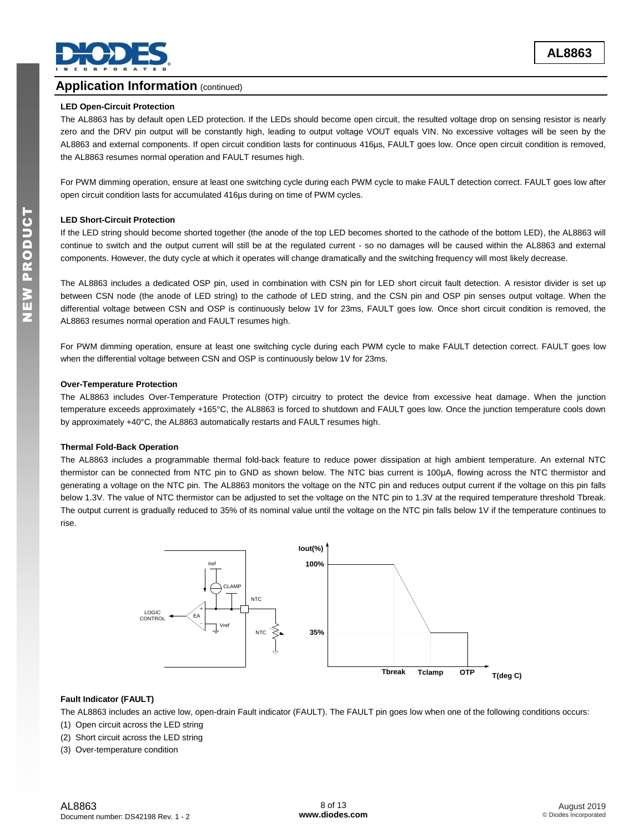

### **Application Information (continued)**

#### **LED Open-Circuit Protection**

The AL8863 has by default open LED protection. If the LEDs should become open circuit, the resulted voltage drop on sensing resistor is nearly zero and the DRV pin output will be constantly high, leading to output voltage VOUT equals VIN. No excessive voltages will be seen by the AL8863 and external components. If open circuit condition lasts for continuous 416µs, FAULT goes low. Once open circuit condition is removed, the AL8863 resumes normal operation and FAULT resumes high.

For PWM dimming operation, ensure at least one switching cycle during each PWM cycle to make FAULT detection correct. FAULT goes low after open circuit condition lasts for accumulated 416µs during on time of PWM cycles.

#### **LED Short-Circuit Protection**

If the LED string should become shorted together (the anode of the top LED becomes shorted to the cathode of the bottom LED), the AL8863 will continue to switch and the output current will still be at the regulated current - so no damages will be caused within the AL8863 and external components. However, the duty cycle at which it operates will change dramatically and the switching frequency will most likely decrease.

The AL8863 includes a dedicated OSP pin, used in combination with CSN pin for LED short circuit fault detection. A resistor divider is set up between CSN node (the anode of LED string) to the cathode of LED string, and the CSN pin and OSP pin senses output voltage. When the differential voltage between CSN and OSP is continuously below 1V for 23ms, FAULT goes low. Once short circuit condition is removed, the AL8863 resumes normal operation and FAULT resumes high.

For PWM dimming operation, ensure at least one switching cycle during each PWM cycle to make FAULT detection correct. FAULT goes low when the differential voltage between CSN and OSP is continuously below 1V for 23ms.

#### **Over-Temperature Protection**

The AL8863 includes Over-Temperature Protection (OTP) circuitry to protect the device from excessive heat damage. When the junction temperature exceeds approximately +165°C, the AL8863 is forced to shutdown and FAULT goes low. Once the junction temperature cools down by approximately +40°C, the AL8863 automatically restarts and FAULT resumes high.

#### **Thermal Fold-Back Operation**

The AL8863 includes a programmable thermal fold-back feature to reduce power dissipation at high ambient temperature. An external NTC thermistor can be connected from NTC pin to GND as shown below. The NTC bias current is 100µA, flowing across the NTC thermistor and generating a voltage on the NTC pin. The AL8863 monitors the voltage on the NTC pin and reduces output current if the voltage on this pin falls below 1.3V. The value of NTC thermistor can be adjusted to set the voltage on the NTC pin to 1.3V at the required temperature threshold Tbreak. The output current is gradually reduced to 35% of its nominal value until the voltage on the NTC pin falls below 1V if the temperature continues to rise.



#### **Fault Indicator (FAULT)**

The AL8863 includes an active low, open-drain Fault indicator (FAULT). The FAULT pin goes low when one of the following conditions occurs:

- (1) Open circuit across the LED string
- (2) Short circuit across the LED string

(3) Over-temperature condition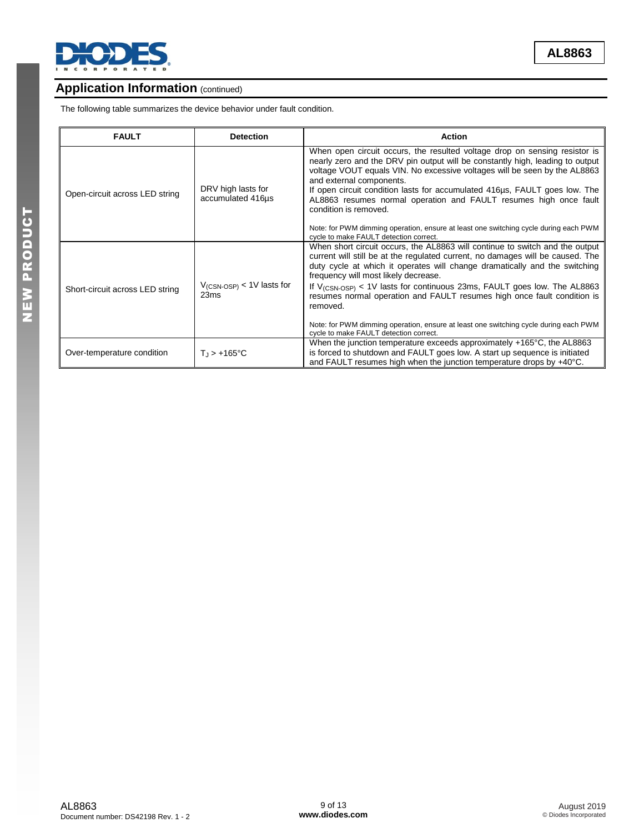

**AL8863**

## **Application Information (continued)**

The following table summarizes the device behavior under fault condition.

| <b>FAULT</b>                    | <b>Detection</b>                                | <b>Action</b>                                                                                                                                                                                                                                                                                                                                                                                                                                                                                                                                                                                         |
|---------------------------------|-------------------------------------------------|-------------------------------------------------------------------------------------------------------------------------------------------------------------------------------------------------------------------------------------------------------------------------------------------------------------------------------------------------------------------------------------------------------------------------------------------------------------------------------------------------------------------------------------------------------------------------------------------------------|
| Open-circuit across LED string  | DRV high lasts for<br>accumulated 416us         | When open circuit occurs, the resulted voltage drop on sensing resistor is<br>nearly zero and the DRV pin output will be constantly high, leading to output<br>voltage VOUT equals VIN. No excessive voltages will be seen by the AL8863<br>and external components.<br>If open circuit condition lasts for accumulated 416us, FAULT goes low. The<br>AL8863 resumes normal operation and FAULT resumes high once fault<br>condition is removed.<br>Note: for PWM dimming operation, ensure at least one switching cycle during each PWM<br>cycle to make FAULT detection correct.                    |
| Short-circuit across LED string | $V$ <sub>(CSN-OSP)</sub> < 1V lasts for<br>23ms | When short circuit occurs, the AL8863 will continue to switch and the output<br>current will still be at the regulated current, no damages will be caused. The<br>duty cycle at which it operates will change dramatically and the switching<br>frequency will most likely decrease.<br>If $V_{\text{(CSN-OSP)}} < 1V$ lasts for continuous 23ms, FAULT goes low. The AL8863<br>resumes normal operation and FAULT resumes high once fault condition is<br>removed.<br>Note: for PWM dimming operation, ensure at least one switching cycle during each PWM<br>cycle to make FAULT detection correct. |
| Over-temperature condition      | $T_{\rm J}$ > +165°C                            | When the junction temperature exceeds approximately $+165^{\circ}$ C, the AL8863<br>is forced to shutdown and FAULT goes low. A start up sequence is initiated<br>and FAULT resumes high when the junction temperature drops by +40°C.                                                                                                                                                                                                                                                                                                                                                                |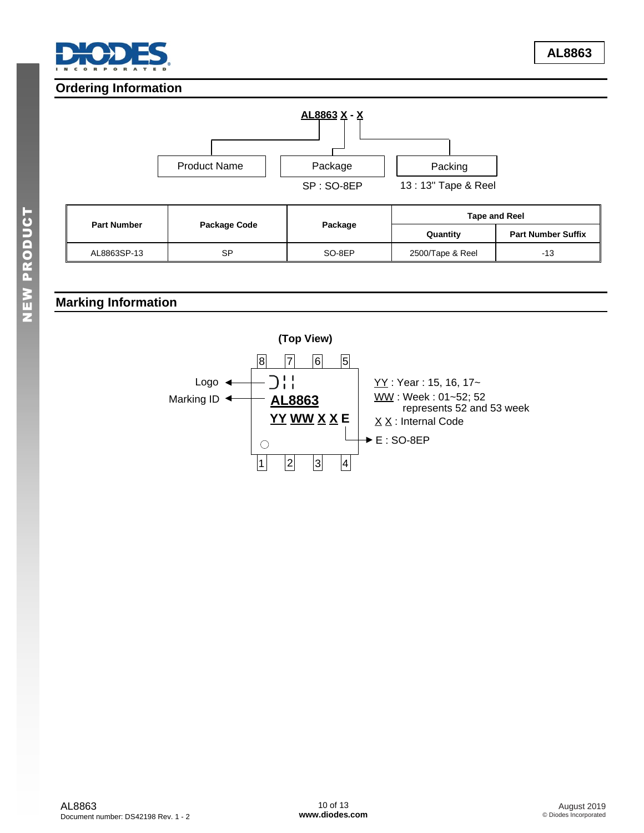

## **Ordering Information**



## **Marking Information**

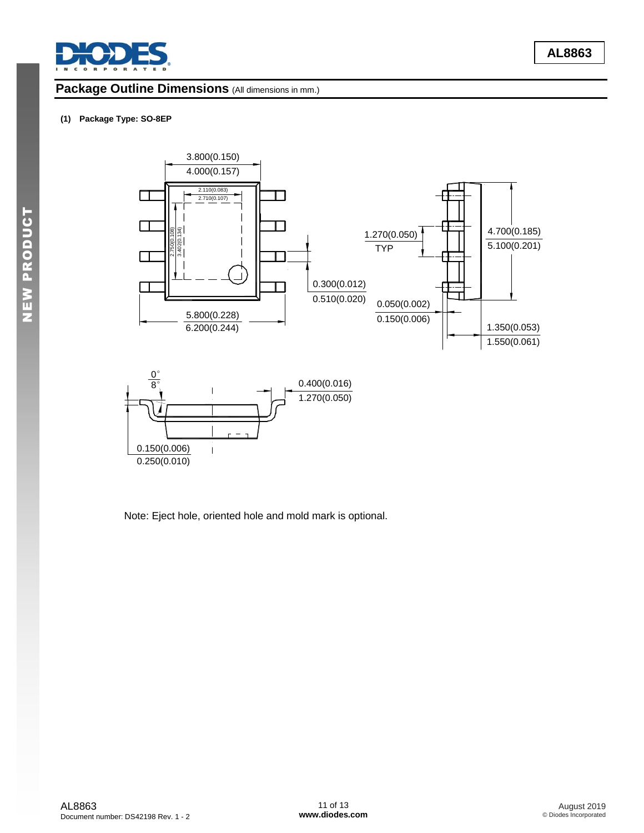

## Package Outline Dimensions (All dimensions in mm.)

#### **(1) Package Type: SO-8EP**



Note: Eject hole, oriented hole and mold mark is optional.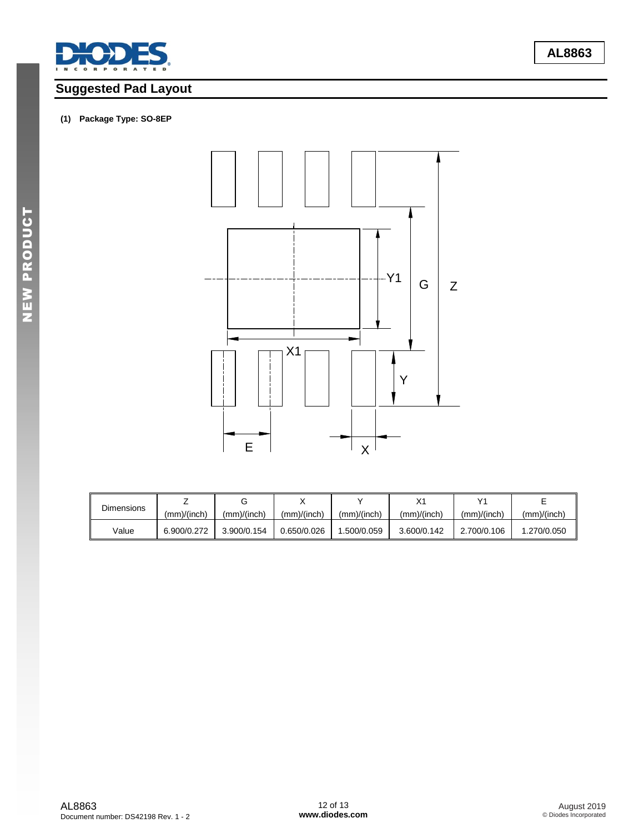

# **Suggested Pad Layout**

#### **(1) Package Type: SO-8EP**



| <b>Dimensions</b> |             |             |             |             |             |             |             |
|-------------------|-------------|-------------|-------------|-------------|-------------|-------------|-------------|
|                   | (mm)/(inch) | (mm)/(inch) | (mm)/(inch) | (mm)/(inch) | (mm)/(inch) | (mm)/(inch) | (mm)/(inch) |
| Value             | 6.900/0.272 | 3.900/0.154 | 0.650/0.026 | .500/0.059  | 3.600/0.142 | 2.700/0.106 | 1.270/0.050 |